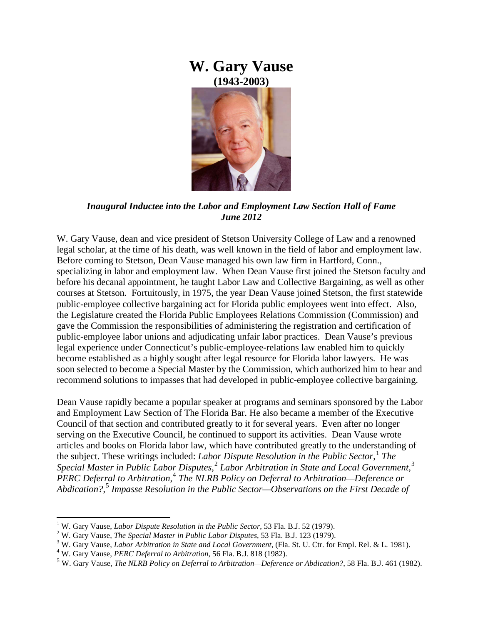## **W. Gary Vause (1943-2003)**



*Inaugural Inductee into the Labor and Employment Law Section Hall of Fame June 2012*

W. Gary Vause, dean and vice president of Stetson University College of Law and a renowned legal scholar, at the time of his death, was well known in the field of labor and employment law. Before coming to Stetson, Dean Vause managed his own law firm in Hartford, Conn., specializing in labor and employment law. When Dean Vause first joined the Stetson faculty and before his decanal appointment, he taught Labor Law and Collective Bargaining, as well as other courses at Stetson. Fortuitously, in 1975, the year Dean Vause joined Stetson, the first statewide public-employee collective bargaining act for Florida public employees went into effect. Also, the Legislature created the Florida Public Employees Relations Commission (Commission) and gave the Commission the responsibilities of administering the registration and certification of public-employee labor unions and adjudicating unfair labor practices. Dean Vause's previous legal experience under Connecticut's public-employee-relations law enabled him to quickly become established as a highly sought after legal resource for Florida labor lawyers. He was soon selected to become a Special Master by the Commission, which authorized him to hear and recommend solutions to impasses that had developed in public-employee collective bargaining.

Dean Vause rapidly became a popular speaker at programs and seminars sponsored by the Labor and Employment Law Section of The Florida Bar. He also became a member of the Executive Council of that section and contributed greatly to it for several years. Even after no longer serving on the Executive Council, he continued to support its activities. Dean Vause wrote articles and books on Florida labor law, which have contributed greatly to the understanding of the subject. These writings included: *Labor Dispute Resolution in the Public Sector*, [1](#page-0-0) *The Special Master in Public Labor Disputes*, [2](#page-0-1) *Labor Arbitration in State and Local Government*, [3](#page-0-2) *PERC Deferral to Arbitration*, [4](#page-0-3) *The NLRB Policy on Deferral to Arbitration—Deference or Abdication?*, [5](#page-0-4) *Impasse Resolution in the Public Sector—Observations on the First Decade of* 

<span id="page-0-0"></span><sup>&</sup>lt;sup>1</sup> W. Gary Vause, *Labor Dispute Resolution in the Public Sector*, 53 Fla. B.J. 52 (1979).<br><sup>2</sup> W. Gary Vause, *The Special Master in Public Labor Disputes*, 53 Fla. B.J. 123 (1979).

<span id="page-0-1"></span>

<span id="page-0-3"></span><span id="page-0-2"></span><sup>&</sup>lt;sup>3</sup> W. Gary Vause, *Labor Arbitration in State and Local Government*, (Fla. St. U. Ctr. for Empl. Rel. & L. 1981).  $4$  W. Gary Vause, *PERC Deferral to Arbitration*, 56 Fla. B.J. 818 (1982).

<span id="page-0-4"></span><sup>5</sup> W. Gary Vause, *The NLRB Policy on Deferral to Arbitration—Deference or Abdication?*, 58 Fla. B.J. 461 (1982).